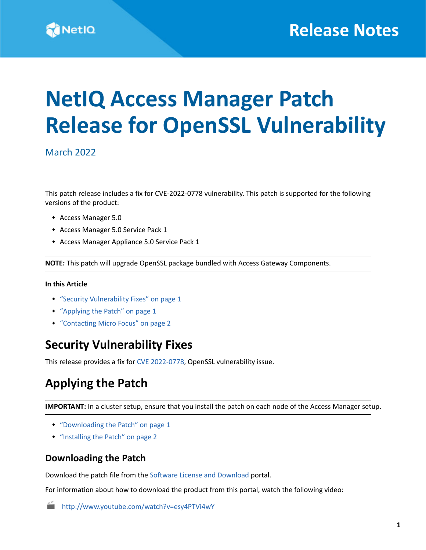

# **NetIQ Access Manager Patch Release for OpenSSL Vulnerability**

## March 2022

This patch release includes a fix for CVE-2022-0778 vulnerability. This patch is supported for the following versions of the product:

- Access Manager 5.0
- Access Manager 5.0 Service Pack 1
- Access Manager Appliance 5.0 Service Pack 1

**NOTE:** This patch will upgrade OpenSSL package bundled with Access Gateway Components.

#### **In this Article**

- ["Security Vulnerability Fixes" on page 1](#page-0-0)
- ["Applying the Patch" on page 1](#page-0-1)
- ["Contacting Micro Focus" on page 2](#page-1-1)

## <span id="page-0-0"></span>**Security Vulnerability Fixes**

This release provides a fix for [CVE 2022-0778,](https://cve.mitre.org/cgi-bin/cvename.cgi?name=CVE-2022-0778) OpenSSL vulnerability issue.

# <span id="page-0-1"></span>**Applying the Patch**

**IMPORTANT:** In a cluster setup, ensure that you install the patch on each node of the Access Manager setup.

- ["Downloading the Patch" on page 1](#page-0-2)
- ["Installing the Patch" on page 2](#page-1-0)

## <span id="page-0-2"></span>**Downloading the Patch**

Download the patch file from the [Software License and Download p](https://sld.microfocus.com/)ortal.

For information about how to download the product from this portal, watch the following video:

<http://www.youtube.com/watch?v=esy4PTVi4wY>